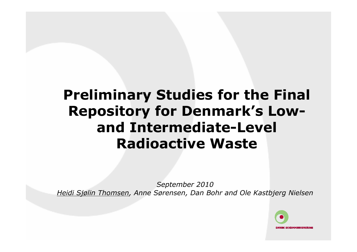# Preliminary Studies for the Final Repository for Denmark's Lowand Intermediate-Level Radioactive Waste

September 2010Heidi Sjølin Thomsen, Anne Sørensen, Dan Bohr and Ole Kastbjerg Nielsen

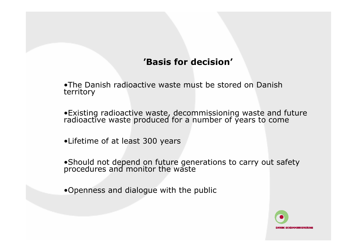#### 'Basis for decision'

•The Danish radioactive waste must be stored on Danish territory

•Existing radioactive waste, decommissioning waste and future radioactive waste produced for a number of years to come

•Lifetime of at least 300 years

•Should not depend on future generations to carry out safety procedures and monitor the waste

•Openness and dialogue with the public

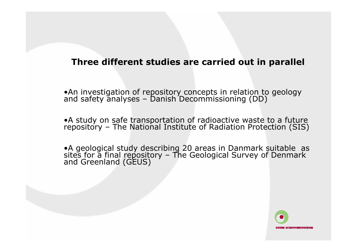#### Three different studies are carried out in parallel

•An investigation of repository concepts in relation to geology and safety analyses – Danish Decommissioning (DD)

•A study on safe transportation of radioactive waste to a future repository – The National Institute of Radiation Protection (SIS)

•A geological study describing 20 areas in Danmark suitable as sites for a final repository – The Geological Survey of Denmark and Greenland (GEUS)

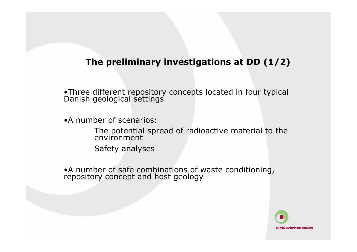## The preliminary investigations at DD (1/2)

•Three different repository concepts located in four typical Danish geological settings

•A number of scenarios:

The potential spread of radioactive material to the environment

Safety analyses

•A number of safe combinations of waste conditioning, repository concept and host geology

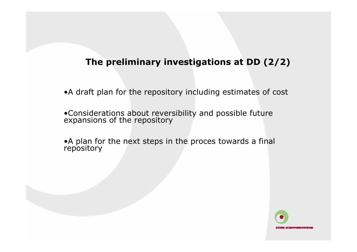## The preliminary investigations at DD (2/2)

•A draft plan for the repository including estimates of cost

•Considerations about reversibility and possible future expansions of the repository

•A plan for the next steps in the proces towards a final repository

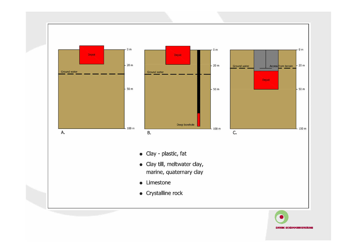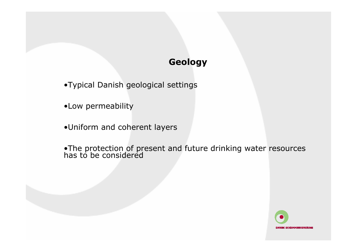## Geology

- •Typical Danish geological settings
- •Low permeability
- •Uniform and coherent layers
- •The protection of present and future drinking water resources has to be considered

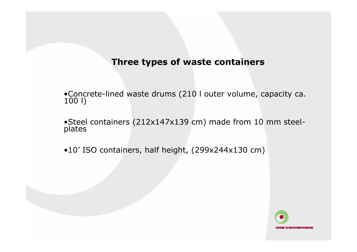#### Three types of waste containers

•Concrete-lined waste drums (210 l outer volume, capacity ca. 100 l)

•Steel containers (212x147x139 cm) made from 10 mm steelplates and the contract of the contract of the contract of the contract of the contract of the contract of the

•10' ISO containers, half height, (299x244x130 cm)

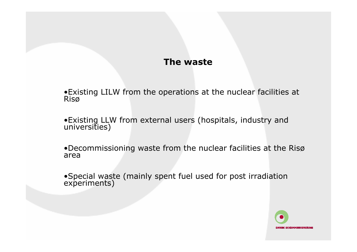#### The waste

•Existing LILW from the operations at the nuclear facilities at Risø

•Existing LLW from external users (hospitals, industry and universities)

•Decommissioning waste from the nuclear facilities at the Risø area

•Special waste (mainly spent fuel used for post irradiation experiments)

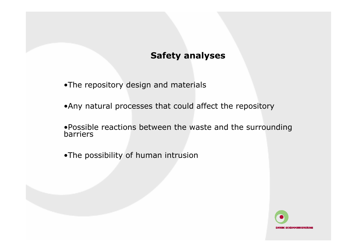## Safety analyses

- •The repository design and materials
- •Any natural processes that could affect the repository
- •Possible reactions between the waste and the surrounding barriers
- •The possibility of human intrusion